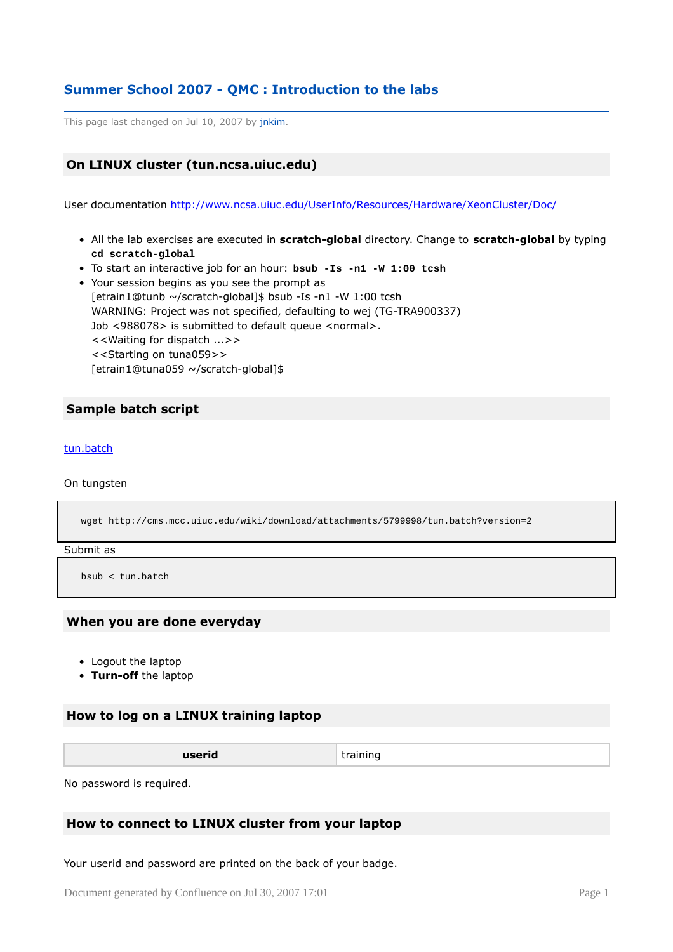# **Summer School 2007 - QMC : Introduction to the labs**

This page last changed on Jul 10, 2007 by jnkim.

# **On LINUX cluster (tun.ncsa.uiuc.edu)**

User documentation <http://www.ncsa.uiuc.edu/UserInfo/Resources/Hardware/XeonCluster/Doc/>

- All the lab exercises are executed in **scratch-global** directory. Change to **scratch-global** by typing **cd scratch-global**
- To start an interactive job for an hour: **bsub -Is -n1 -W 1:00 tcsh**
- Your session begins as you see the prompt as [etrain1@tunb ~/scratch-global]\$ bsub -Is -n1 -W 1:00 tcsh WARNING: Project was not specified, defaulting to wej (TG-TRA900337) Job <988078> is submitted to default queue <normal>. <<Waiting for dispatch ...>> <<Starting on tuna059>> [etrain1@tuna059 ~/scratch-global]\$

## **Sample batch script**

#### [tun.batch](http://cms.mcc.uiuc.edu/download/attachments/5799998/tun.batch?version=2)

On tungsten

wget http://cms.mcc.uiuc.edu/wiki/download/attachments/5799998/tun.batch?version=2

#### Submit as

bsub < tun.batch

#### **When you are done everyday**

- Logout the laptop
- **Turn-off** the laptop

## **How to log on a LINUX training laptop**

| userid<br>____ | training |
|----------------|----------|
|----------------|----------|

No password is required.

## **How to connect to LINUX cluster from your laptop**

Your userid and password are printed on the back of your badge.